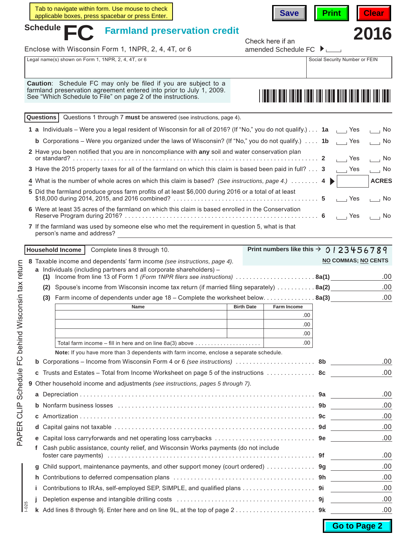|                |                                                                                                                                        | Tab to navigate within form. Use mouse to check<br>applicable boxes, press spacebar or press Enter.                                                                                                  |                   | <b>Save</b>                                        | <b>Print</b> | <b>Clear</b>                                                |     |  |
|----------------|----------------------------------------------------------------------------------------------------------------------------------------|------------------------------------------------------------------------------------------------------------------------------------------------------------------------------------------------------|-------------------|----------------------------------------------------|--------------|-------------------------------------------------------------|-----|--|
| Schedule       |                                                                                                                                        | <b>Farmland preservation credit</b>                                                                                                                                                                  |                   | Check here if an                                   |              | 2016                                                        |     |  |
|                |                                                                                                                                        | Enclose with Wisconsin Form 1, 1NPR, 2, 4, 4T, or 6                                                                                                                                                  |                   | amended Schedule FC ▶ □                            |              |                                                             |     |  |
|                |                                                                                                                                        | Legal name(s) shown on Form 1, 1NPR, 2, 4, 4T, or 6                                                                                                                                                  |                   |                                                    |              | Social Security Number or FEIN                              |     |  |
|                |                                                                                                                                        |                                                                                                                                                                                                      |                   |                                                    |              |                                                             |     |  |
|                |                                                                                                                                        | Caution: Schedule FC may only be filed if you are subject to a<br>farmland preservation agreement entered into prior to July 1, 2009.<br>See "Which Schedule to File" on page 2 of the instructions. |                   |                                                    |              |                                                             |     |  |
|                | Questions                                                                                                                              | Questions 1 through 7 must be answered (see instructions, page 4).                                                                                                                                   |                   |                                                    |              |                                                             |     |  |
|                |                                                                                                                                        | 1 a Individuals – Were you a legal resident of Wisconsin for all of 2016? (If "No," you do not qualify.) 1a ____ Yes                                                                                 |                   |                                                    |              | $\overline{a}$ No                                           |     |  |
|                |                                                                                                                                        | <b>b</b> Corporations – Were you organized under the laws of Wisconsin? (If "No," you do not qualify.) $\ldots$ 1b                                                                                   |                   |                                                    |              | $\Box$ No                                                   |     |  |
|                |                                                                                                                                        | 2 Have you been notified that you are in noncompliance with any soil and water conservation plan                                                                                                     |                   |                                                    |              | $\overline{\phantom{a}}$ Yes<br>$\overline{\phantom{0}}$ No |     |  |
|                |                                                                                                                                        | 3 Have the 2015 property taxes for all of the farmland on which this claim is based been paid in full? 3                                                                                             |                   |                                                    |              | $\overline{\phantom{a}}$ Yes<br>$\overline{\phantom{0}}$ No |     |  |
|                | 4 What is the number of whole acres on which this claim is based? (See instructions, page 4.)  4 $\blacktriangleright$<br><b>ACRES</b> |                                                                                                                                                                                                      |                   |                                                    |              |                                                             |     |  |
|                |                                                                                                                                        | 5 Did the farmland produce gross farm profits of at least \$6,000 during 2016 or a total of at least                                                                                                 |                   |                                                    |              | $\overline{1}$ Yes<br>$\overline{1}$ No                     |     |  |
|                |                                                                                                                                        | 6 Were at least 35 acres of the farmland on which this claim is based enrolled in the Conservation                                                                                                   |                   |                                                    |              | $\Box$ Yes<br>$\overline{\phantom{a}}$ No                   |     |  |
|                |                                                                                                                                        | 7 If the farmland was used by someone else who met the requirement in question 5, what is that<br>person's name and address?                                                                         |                   |                                                    |              |                                                             |     |  |
|                |                                                                                                                                        | Household Income<br>Complete lines 8 through 10.                                                                                                                                                     |                   | Print numbers like this $\rightarrow$ 0   23456789 |              |                                                             |     |  |
|                |                                                                                                                                        |                                                                                                                                                                                                      |                   |                                                    |              |                                                             |     |  |
|                |                                                                                                                                        |                                                                                                                                                                                                      |                   |                                                    |              |                                                             |     |  |
|                |                                                                                                                                        | 8 Taxable income and dependents' farm income (see instructions, page 4).<br>a Individuals (including partners and all corporate shareholders) -                                                      |                   |                                                    |              | <b>NO COMMAS; NO CENTS</b>                                  |     |  |
|                |                                                                                                                                        | (1) Income from line 13 of Form 1 (Form 1NPR filers see instructions) 8a(1)                                                                                                                          |                   |                                                    |              |                                                             | .00 |  |
|                | (2)                                                                                                                                    | Spouse's income from Wisconsin income tax return (if married filing separately)  8a(2) 00                                                                                                            |                   |                                                    |              |                                                             |     |  |
|                |                                                                                                                                        | (3) Farm income of dependents under age 18 – Complete the worksheet below. 8a(3)                                                                                                                     |                   |                                                    |              |                                                             | .00 |  |
|                |                                                                                                                                        | Name                                                                                                                                                                                                 | <b>Birth Date</b> | Farm Income<br>.00                                 |              |                                                             |     |  |
|                |                                                                                                                                        |                                                                                                                                                                                                      |                   | .00                                                |              |                                                             |     |  |
|                |                                                                                                                                        |                                                                                                                                                                                                      |                   | .00                                                |              |                                                             |     |  |
|                |                                                                                                                                        | Total farm income – fill in here and on line 8a(3) above $\ldots \ldots \ldots \ldots \ldots \ldots$                                                                                                 |                   | .00.                                               |              |                                                             |     |  |
|                |                                                                                                                                        | Note: If you have more than 3 dependents with farm income, enclose a separate schedule.                                                                                                              |                   |                                                    |              |                                                             |     |  |
| b              |                                                                                                                                        | Corporations – Income from Wisconsin Form 4 or 6 (see instructions)  8b                                                                                                                              |                   |                                                    |              |                                                             | .00 |  |
| c              |                                                                                                                                        | Trusts and Estates – Total from Income Worksheet on page 5 of the instructions  8c                                                                                                                   |                   |                                                    |              |                                                             | .00 |  |
|                |                                                                                                                                        | 9 Other household income and adjustments (see instructions, pages 5 through 7).                                                                                                                      |                   |                                                    |              |                                                             |     |  |
| a              |                                                                                                                                        |                                                                                                                                                                                                      |                   |                                                    |              |                                                             | .00 |  |
| b              |                                                                                                                                        |                                                                                                                                                                                                      |                   |                                                    |              |                                                             | .00 |  |
| с              |                                                                                                                                        |                                                                                                                                                                                                      |                   |                                                    |              |                                                             | .00 |  |
| d              |                                                                                                                                        |                                                                                                                                                                                                      |                   |                                                    |              |                                                             | .00 |  |
| е              |                                                                                                                                        |                                                                                                                                                                                                      |                   |                                                    |              |                                                             | .00 |  |
| t              |                                                                                                                                        | Cash public assistance, county relief, and Wisconsin Works payments (do not include                                                                                                                  |                   |                                                    |              |                                                             | .00 |  |
| g              |                                                                                                                                        | Child support, maintenance payments, and other support money (court ordered)  9g                                                                                                                     |                   |                                                    |              |                                                             | .00 |  |
| h              |                                                                                                                                        |                                                                                                                                                                                                      |                   |                                                    |              |                                                             | .00 |  |
|                |                                                                                                                                        |                                                                                                                                                                                                      |                   |                                                    |              |                                                             | .00 |  |
| j<br>$1 - 025$ |                                                                                                                                        |                                                                                                                                                                                                      |                   |                                                    |              |                                                             | .00 |  |

PAPER CLIP Schedule FC behind Wisconsin tax return PAPER CLIP Schedule FC behind Wisconsin tax return

**Go to Page 2**